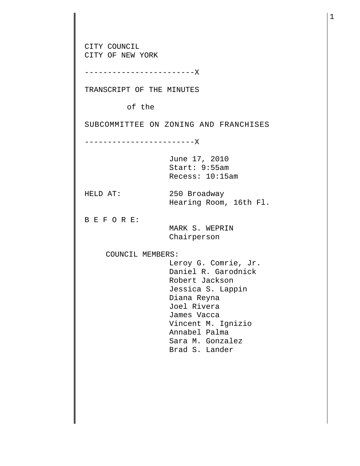CITY COUNCIL CITY OF NEW YORK ------------------------X TRANSCRIPT OF THE MINUTES of the SUBCOMMITTEE ON ZONING AND FRANCHISES ------------------------X June 17, 2010 Start: 9:55am Recess: 10:15am HELD AT: 250 Broadway Hearing Room, 16th Fl. B E F O R E: MARK S. WEPRIN Chairperson COUNCIL MEMBERS: Leroy G. Comrie, Jr. Daniel R. Garodnick Robert Jackson Jessica S. Lappin Diana Reyna Joel Rivera James Vacca Vincent M. Ignizio Annabel Palma Sara M. Gonzalez Brad S. Lander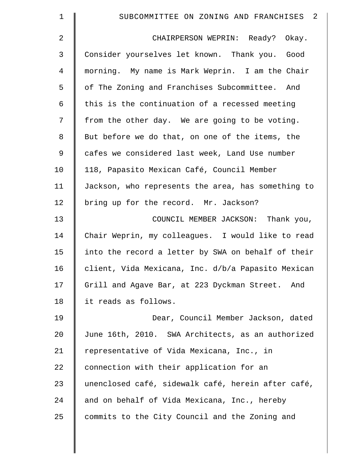| $\mathbf 1$    | SUBCOMMITTEE ON ZONING AND FRANCHISES 2            |
|----------------|----------------------------------------------------|
| $\overline{2}$ | CHAIRPERSON WEPRIN: Ready? Okay.                   |
| 3              | Consider yourselves let known. Thank you. Good     |
| $\overline{4}$ | morning. My name is Mark Weprin. I am the Chair    |
| 5              | of The Zoning and Franchises Subcommittee. And     |
| 6              | this is the continuation of a recessed meeting     |
| 7              | from the other day. We are going to be voting.     |
| $\,8\,$        | But before we do that, on one of the items, the    |
| $\mathsf 9$    | cafes we considered last week, Land Use number     |
| 10             | 118, Papasito Mexican Café, Council Member         |
| 11             | Jackson, who represents the area, has something to |
| 12             | bring up for the record. Mr. Jackson?              |
| 13             | COUNCIL MEMBER JACKSON: Thank you,                 |
| 14             | Chair Weprin, my colleagues. I would like to read  |
| 15             | into the record a letter by SWA on behalf of their |
| 16             | client, Vida Mexicana, Inc. d/b/a Papasito Mexican |
| 17             | Grill and Agave Bar, at 223 Dyckman Street. And    |
| 18             | it reads as follows.                               |
| 19             | Dear, Council Member Jackson, dated                |
| $20 \,$        | June 16th, 2010. SWA Architects, as an authorized  |
| 21             | representative of Vida Mexicana, Inc., in          |
| 22             | connection with their application for an           |
| 23             | unenclosed café, sidewalk café, herein after café, |
| 24             | and on behalf of Vida Mexicana, Inc., hereby       |
| 25             | commits to the City Council and the Zoning and     |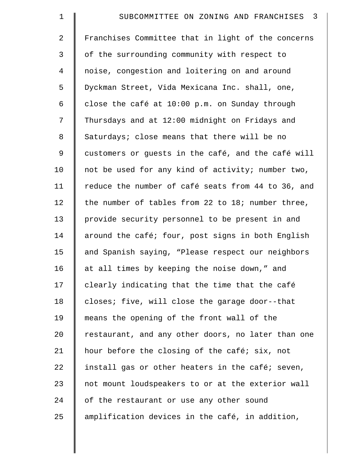| $\mathbf 1$ | SUBCOMMITTEE ON ZONING AND FRANCHISES 3            |
|-------------|----------------------------------------------------|
| 2           | Franchises Committee that in light of the concerns |
| 3           | of the surrounding community with respect to       |
| 4           | noise, congestion and loitering on and around      |
| 5           | Dyckman Street, Vida Mexicana Inc. shall, one,     |
| 6           | close the café at 10:00 p.m. on Sunday through     |
| 7           | Thursdays and at 12:00 midnight on Fridays and     |
| 8           | Saturdays; close means that there will be no       |
| 9           | customers or guests in the café, and the café will |
| 10          | not be used for any kind of activity; number two,  |
| 11          | reduce the number of café seats from 44 to 36, and |
| 12          | the number of tables from 22 to 18; number three,  |
| 13          | provide security personnel to be present in and    |
| 14          | around the café; four, post signs in both English  |
| 15          | and Spanish saying, "Please respect our neighbors  |
| 16          | at all times by keeping the noise down," and       |
| 17          | clearly indicating that the time that the café     |
| 18          | closes; five, will close the garage door--that     |
| 19          | means the opening of the front wall of the         |
| 20          | restaurant, and any other doors, no later than one |
| 21          | hour before the closing of the café; six, not      |
| 22          | install gas or other heaters in the café; seven,   |
| 23          | not mount loudspeakers to or at the exterior wall  |
| 24          | of the restaurant or use any other sound           |
| 25          | amplification devices in the café, in addition,    |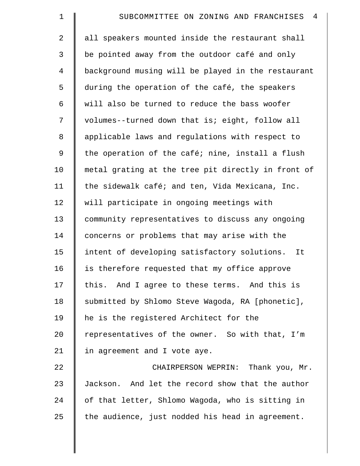| $\mathbf 1$ | 4<br>SUBCOMMITTEE ON ZONING AND FRANCHISES         |
|-------------|----------------------------------------------------|
| 2           | all speakers mounted inside the restaurant shall   |
| 3           | be pointed away from the outdoor café and only     |
| 4           | background musing will be played in the restaurant |
| 5           | during the operation of the café, the speakers     |
| 6           | will also be turned to reduce the bass woofer      |
| 7           | volumes--turned down that is; eight, follow all    |
| 8           | applicable laws and regulations with respect to    |
| $\mathsf 9$ | the operation of the café; nine, install a flush   |
| 10          | metal grating at the tree pit directly in front of |
| 11          | the sidewalk café; and ten, Vida Mexicana, Inc.    |
| 12          | will participate in ongoing meetings with          |
| 13          | community representatives to discuss any ongoing   |
| 14          | concerns or problems that may arise with the       |
| 15          | intent of developing satisfactory solutions.<br>It |
| 16          | is therefore requested that my office approve      |
| 17          | this. And I agree to these terms. And this is      |
| 18          | submitted by Shlomo Steve Wagoda, RA [phonetic],   |
| 19          | he is the registered Architect for the             |
| 20          | representatives of the owner. So with that, I'm    |
| 21          | in agreement and I vote aye.                       |
| 22          | CHAIRPERSON WEPRIN: Thank you, Mr.                 |
| 23          | Jackson. And let the record show that the author   |
| 24          | of that letter, Shlomo Wagoda, who is sitting in   |
| 25          | the audience, just nodded his head in agreement.   |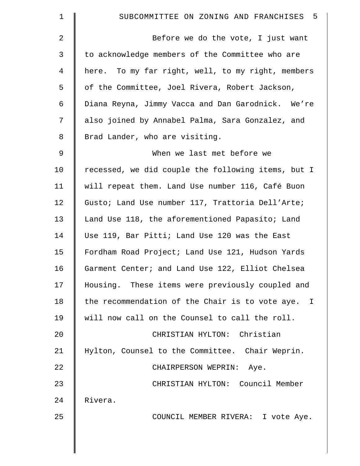| 1           | SUBCOMMITTEE ON ZONING AND FRANCHISES 5            |
|-------------|----------------------------------------------------|
| 2           | Before we do the vote, I just want                 |
| 3           | to acknowledge members of the Committee who are    |
| 4           | here. To my far right, well, to my right, members  |
| 5           | of the Committee, Joel Rivera, Robert Jackson,     |
| 6           | Diana Reyna, Jimmy Vacca and Dan Garodnick. We're  |
| 7           | also joined by Annabel Palma, Sara Gonzalez, and   |
| 8           | Brad Lander, who are visiting.                     |
| $\mathsf 9$ | When we last met before we                         |
| 10          | recessed, we did couple the following items, but I |
| 11          | will repeat them. Land Use number 116, Café Buon   |
| 12          | Gusto; Land Use number 117, Trattoria Dell'Arte;   |
| 13          | Land Use 118, the aforementioned Papasito; Land    |
| 14          | Use 119, Bar Pitti; Land Use 120 was the East      |
| 15          | Fordham Road Project; Land Use 121, Hudson Yards   |
| 16          | Garment Center; and Land Use 122, Elliot Chelsea   |
| 17          | Housing. These items were previously coupled and   |
| 18          | the recommendation of the Chair is to vote aye. I  |
| 19          | will now call on the Counsel to call the roll.     |
| 20          | CHRISTIAN HYLTON: Christian                        |
| 21          | Hylton, Counsel to the Committee. Chair Weprin.    |
| 22          | CHAIRPERSON WEPRIN: Aye.                           |
| 23          | CHRISTIAN HYLTON: Council Member                   |
| 24          | Rivera.                                            |
| 25          | COUNCIL MEMBER RIVERA: I vote Aye.                 |
|             |                                                    |
|             |                                                    |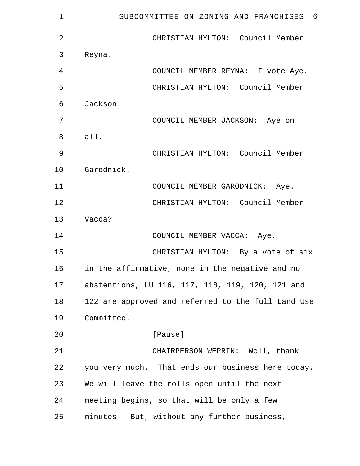| $\mathbf 1$    | SUBCOMMITTEE ON ZONING AND FRANCHISES 6            |
|----------------|----------------------------------------------------|
| $\overline{2}$ | CHRISTIAN HYLTON: Council Member                   |
| 3              | Reyna.                                             |
| 4              | COUNCIL MEMBER REYNA: I vote Aye.                  |
| 5              | CHRISTIAN HYLTON: Council Member                   |
| 6              | Jackson.                                           |
| 7              | COUNCIL MEMBER JACKSON: Aye on                     |
| 8              | all.                                               |
| 9              | CHRISTIAN HYLTON: Council Member                   |
| 10             | Garodnick.                                         |
| 11             | COUNCIL MEMBER GARODNICK: Aye.                     |
| 12             | CHRISTIAN HYLTON: Council Member                   |
| 13             | Vacca?                                             |
| 14             | COUNCIL MEMBER VACCA: Aye.                         |
| 15             | CHRISTIAN HYLTON: By a vote of six                 |
| 16             | in the affirmative, none in the negative and no    |
| 17             | abstentions, LU 116, 117, 118, 119, 120, 121 and   |
| 18             | 122 are approved and referred to the full Land Use |
| 19             | Committee.                                         |
| 20             | [Pause]                                            |
| 21             | CHAIRPERSON WEPRIN: Well, thank                    |
| 22             | you very much. That ends our business here today.  |
| 23             | We will leave the rolls open until the next        |
| 24             | meeting begins, so that will be only a few         |
| 25             | minutes. But, without any further business,        |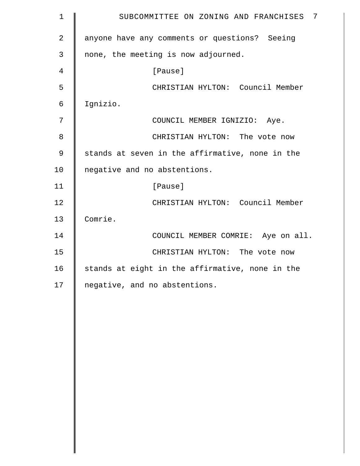| $\mathbf 1$    | $\overline{7}$<br>SUBCOMMITTEE ON ZONING AND FRANCHISES |
|----------------|---------------------------------------------------------|
| $\overline{2}$ | anyone have any comments or questions? Seeing           |
| 3              | none, the meeting is now adjourned.                     |
| 4              | [Pause]                                                 |
| 5              | CHRISTIAN HYLTON: Council Member                        |
| 6              | Ignizio.                                                |
| 7              | COUNCIL MEMBER IGNIZIO: Aye.                            |
| $\,8\,$        | CHRISTIAN HYLTON: The vote now                          |
| 9              | stands at seven in the affirmative, none in the         |
| 10             | negative and no abstentions.                            |
| 11             | [Pause]                                                 |
| 12             | CHRISTIAN HYLTON: Council Member                        |
| 13             | Comrie.                                                 |
| 14             | COUNCIL MEMBER COMRIE: Aye on all.                      |
| 15             | CHRISTIAN HYLTON: The vote now                          |
| 16             | stands at eight in the affirmative, none in the         |
| 17             | negative, and no abstentions.                           |
|                |                                                         |
|                |                                                         |
|                |                                                         |
|                |                                                         |
|                |                                                         |
|                |                                                         |
|                |                                                         |
|                |                                                         |
|                |                                                         |
|                |                                                         |